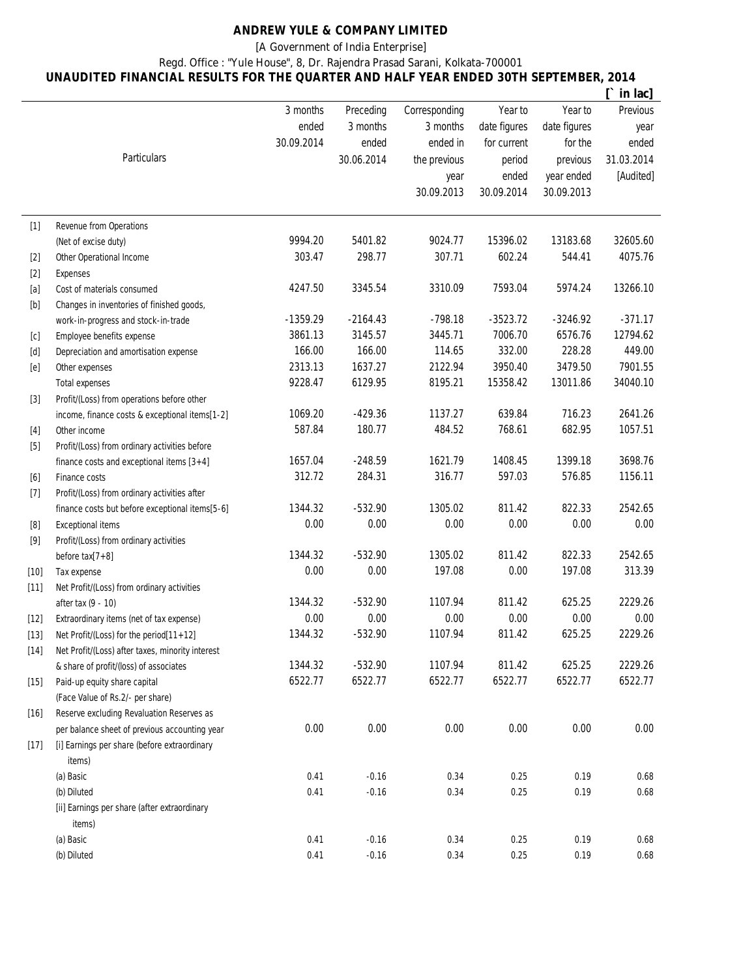## **ANDREW YULE & COMPANY LIMITED**

[A Government of India Enterprise]

Regd. Office : "Yule House", 8, Dr. Rajendra Prasad Sarani, Kolkata-700001

## **UNAUDITED FINANCIAL RESULTS FOR THE QUARTER AND HALF YEAR ENDED 30TH SEPTEMBER, 2014**

|                                                                                                                                                                                                                              |                                                  |            |            |               |              |              | in lac]         |
|------------------------------------------------------------------------------------------------------------------------------------------------------------------------------------------------------------------------------|--------------------------------------------------|------------|------------|---------------|--------------|--------------|-----------------|
|                                                                                                                                                                                                                              |                                                  | 3 months   | Preceding  | Corresponding | Year to      | Year to      | <b>Previous</b> |
|                                                                                                                                                                                                                              |                                                  | ended      | 3 months   | 3 months      | date figures | date figures | year            |
|                                                                                                                                                                                                                              |                                                  | 30.09.2014 | ended      | ended in      | for current  | for the      | ended           |
|                                                                                                                                                                                                                              | Particulars                                      |            | 30.06.2014 | the previous  | period       | previous     | 31.03.2014      |
|                                                                                                                                                                                                                              |                                                  |            |            | year          | ended        | year ended   | [Audited]       |
|                                                                                                                                                                                                                              |                                                  |            |            | 30.09.2013    | 30.09.2014   | 30.09.2013   |                 |
|                                                                                                                                                                                                                              |                                                  |            |            |               |              |              |                 |
| $[1]$                                                                                                                                                                                                                        | Revenue from Operations                          |            |            |               |              |              |                 |
|                                                                                                                                                                                                                              | (Net of excise duty)                             | 9994.20    | 5401.82    | 9024.77       | 15396.02     | 13183.68     | 32605.60        |
| $[2]$                                                                                                                                                                                                                        | <b>Other Operational Income</b>                  | 303.47     | 298.77     | 307.71        | 602.24       | 544.41       | 4075.76         |
| $[2]$                                                                                                                                                                                                                        | <b>Expenses</b>                                  |            |            |               |              |              |                 |
| $[a]$                                                                                                                                                                                                                        | Cost of materials consumed                       | 4247.50    | 3345.54    | 3310.09       | 7593.04      | 5974.24      | 13266.10        |
| $[b] % \begin{center} % \includegraphics[width=\linewidth]{imagesSupplemental_3.png} % \end{center} % \caption { % Our method is used for the image. % } % \label{fig:example} %$                                            | Changes in inventories of finished goods,        |            |            |               |              |              |                 |
|                                                                                                                                                                                                                              | work-in-progress and stock-in-trade              | $-1359.29$ | $-2164.43$ | $-798.18$     | $-3523.72$   | $-3246.92$   | $-371.17$       |
| [c]                                                                                                                                                                                                                          | Employee benefits expense                        | 3861.13    | 3145.57    | 3445.71       | 7006.70      | 6576.76      | 12794.62        |
| [d]                                                                                                                                                                                                                          | Depreciation and amortisation expense            | 166.00     | 166.00     | 114.65        | 332.00       | 228.28       | 449.00          |
|                                                                                                                                                                                                                              |                                                  | 2313.13    | 1637.27    | 2122.94       | 3950.40      | 3479.50      | 7901.55         |
| [e]                                                                                                                                                                                                                          | Other expenses                                   | 9228.47    | 6129.95    | 8195.21       | 15358.42     | 13011.86     | 34040.10        |
|                                                                                                                                                                                                                              | <b>Total expenses</b>                            |            |            |               |              |              |                 |
| $[3]$                                                                                                                                                                                                                        | Profit/(Loss) from operations before other       |            |            | 1137.27       |              | 716.23       |                 |
|                                                                                                                                                                                                                              | income, finance costs & exceptional items[1-2]   | 1069.20    | $-429.36$  |               | 639.84       |              | 2641.26         |
| $[4]$                                                                                                                                                                                                                        | Other income                                     | 587.84     | 180.77     | 484.52        | 768.61       | 682.95       | 1057.51         |
| $[5]$                                                                                                                                                                                                                        | Profit/(Loss) from ordinary activities before    |            |            |               |              |              |                 |
|                                                                                                                                                                                                                              | finance costs and exceptional items $[3+4]$      | 1657.04    | $-248.59$  | 1621.79       | 1408.45      | 1399.18      | 3698.76         |
| $[6]$                                                                                                                                                                                                                        | Finance costs                                    | 312.72     | 284.31     | 316.77        | 597.03       | 576.85       | 1156.11         |
| $[7]$                                                                                                                                                                                                                        | Profit/(Loss) from ordinary activities after     |            |            |               |              |              |                 |
|                                                                                                                                                                                                                              | finance costs but before exceptional items[5-6]  | 1344.32    | $-532.90$  | 1305.02       | 811.42       | 822.33       | 2542.65         |
| $[8] % \includegraphics[width=0.9\columnwidth]{figures/fig_04a.pdf} \caption{The 3D (black) model for a $4 \times 4$ and $5 \times 4$ (red) model. The left side is the same as a function of the left side.} \label{fig:2}$ | <b>Exceptional items</b>                         | 0.00       | 0.00       | 0.00          | 0.00         | 0.00         | 0.00            |
| [9]                                                                                                                                                                                                                          | Profit/(Loss) from ordinary activities           |            |            |               |              |              |                 |
|                                                                                                                                                                                                                              | before $tax[7+8]$                                | 1344.32    | $-532.90$  | 1305.02       | 811.42       | 822.33       | 2542.65         |
| $[10]$                                                                                                                                                                                                                       | Tax expense                                      | 0.00       | 0.00       | 197.08        | 0.00         | 197.08       | 313.39          |
| $[11]$                                                                                                                                                                                                                       | Net Profit/(Loss) from ordinary activities       |            |            |               |              |              |                 |
|                                                                                                                                                                                                                              | after tax (9 - 10)                               | 1344.32    | $-532.90$  | 1107.94       | 811.42       | 625.25       | 2229.26         |
| $[12]$                                                                                                                                                                                                                       | Extraordinary items (net of tax expense)         | 0.00       | 0.00       | 0.00          | 0.00         | 0.00         | 0.00            |
| $[13]$                                                                                                                                                                                                                       | Net Profit/(Loss) for the period[11+12]          | 1344.32    | $-532.90$  | 1107.94       | 811.42       | 625.25       | 2229.26         |
| $[14]$                                                                                                                                                                                                                       | Net Profit/(Loss) after taxes, minority interest |            |            |               |              |              |                 |
|                                                                                                                                                                                                                              | & share of profit/(loss) of associates           | 1344.32    | $-532.90$  | 1107.94       | 811.42       | 625.25       | 2229.26         |
| $[15]$                                                                                                                                                                                                                       | Paid-up equity share capital                     | 6522.77    | 6522.77    | 6522.77       | 6522.77      | 6522.77      | 6522.77         |
|                                                                                                                                                                                                                              | (Face Value of Rs.2/- per share)                 |            |            |               |              |              |                 |
| $[16]$                                                                                                                                                                                                                       | Reserve excluding Revaluation Reserves as        |            |            |               |              |              |                 |
|                                                                                                                                                                                                                              | per balance sheet of previous accounting year    | 0.00       | 0.00       | 0.00          | 0.00         | 0.00         | 0.00            |
| $[17]$                                                                                                                                                                                                                       | [i] Earnings per share (before extraordinary     |            |            |               |              |              |                 |
|                                                                                                                                                                                                                              | items)                                           |            |            |               |              |              |                 |
|                                                                                                                                                                                                                              | (a) Basic                                        | 0.41       | $-0.16$    | 0.34          | 0.25         | 0.19         | 0.68            |
|                                                                                                                                                                                                                              | (b) Diluted                                      | 0.41       | $-0.16$    | 0.34          | 0.25         | 0.19         | 0.68            |
|                                                                                                                                                                                                                              | [ii] Earnings per share (after extraordinary     |            |            |               |              |              |                 |
|                                                                                                                                                                                                                              | items)                                           |            |            |               |              |              |                 |
|                                                                                                                                                                                                                              | (a) Basic                                        | 0.41       | $-0.16$    | 0.34          | 0.25         | 0.19         | 0.68            |
|                                                                                                                                                                                                                              | (b) Diluted                                      | 0.41       | $-0.16$    | 0.34          | 0.25         | 0.19         | 0.68            |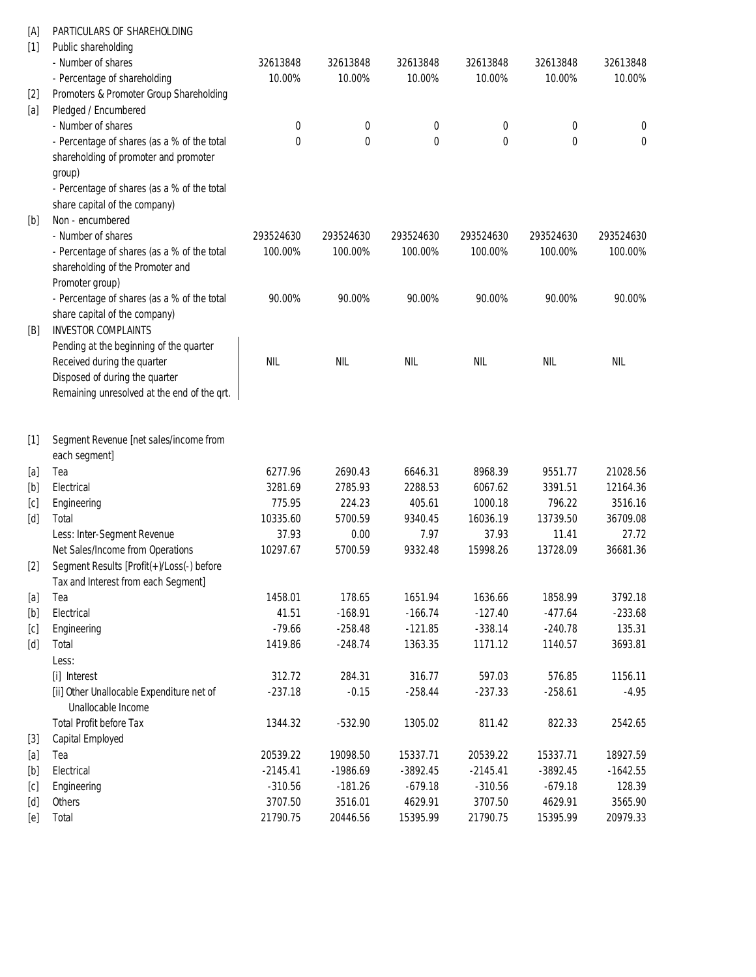| [A]                                                                                                                                                                                              | PARTICULARS OF SHAREHOLDING                 |            |            |            |            |            |            |
|--------------------------------------------------------------------------------------------------------------------------------------------------------------------------------------------------|---------------------------------------------|------------|------------|------------|------------|------------|------------|
| $[1]$                                                                                                                                                                                            | Public shareholding                         |            |            |            |            |            |            |
|                                                                                                                                                                                                  | - Number of shares                          | 32613848   | 32613848   | 32613848   | 32613848   | 32613848   | 32613848   |
|                                                                                                                                                                                                  | - Percentage of shareholding                | 10.00%     | 10.00%     | 10.00%     | 10.00%     | 10.00%     | 10.00%     |
| $[2]$                                                                                                                                                                                            | Promoters & Promoter Group Shareholding     |            |            |            |            |            |            |
| [a]                                                                                                                                                                                              | Pledged / Encumbered                        |            |            |            |            |            |            |
|                                                                                                                                                                                                  | - Number of shares                          | 0          | 0          | 0          | 0          | 0          | 0          |
|                                                                                                                                                                                                  | - Percentage of shares (as a % of the total | 0          | 0          | 0          | 0          | 0          | 0          |
|                                                                                                                                                                                                  | shareholding of promoter and promoter       |            |            |            |            |            |            |
|                                                                                                                                                                                                  | group)                                      |            |            |            |            |            |            |
|                                                                                                                                                                                                  | - Percentage of shares (as a % of the total |            |            |            |            |            |            |
|                                                                                                                                                                                                  | share capital of the company)               |            |            |            |            |            |            |
| [b]                                                                                                                                                                                              | Non - encumbered                            |            |            |            |            |            |            |
|                                                                                                                                                                                                  | - Number of shares                          | 293524630  | 293524630  | 293524630  | 293524630  | 293524630  | 293524630  |
|                                                                                                                                                                                                  | - Percentage of shares (as a % of the total | 100.00%    | 100.00%    | 100.00%    | 100.00%    | 100.00%    | 100.00%    |
|                                                                                                                                                                                                  | shareholding of the Promoter and            |            |            |            |            |            |            |
|                                                                                                                                                                                                  | Promoter group)                             |            |            |            |            |            |            |
|                                                                                                                                                                                                  | - Percentage of shares (as a % of the total | 90.00%     | 90.00%     | 90.00%     | 90.00%     | 90.00%     | 90.00%     |
|                                                                                                                                                                                                  | share capital of the company)               |            |            |            |            |            |            |
| [B]                                                                                                                                                                                              | <b>INVESTOR COMPLAINTS</b>                  |            |            |            |            |            |            |
|                                                                                                                                                                                                  | Pending at the beginning of the quarter     |            |            |            |            |            |            |
|                                                                                                                                                                                                  | Received during the quarter                 | <b>NIL</b> | <b>NIL</b> | <b>NIL</b> | <b>NIL</b> | <b>NIL</b> | <b>NIL</b> |
|                                                                                                                                                                                                  | Disposed of during the quarter              |            |            |            |            |            |            |
|                                                                                                                                                                                                  | Remaining unresolved at the end of the qrt. |            |            |            |            |            |            |
|                                                                                                                                                                                                  |                                             |            |            |            |            |            |            |
|                                                                                                                                                                                                  |                                             |            |            |            |            |            |            |
| $[1]$                                                                                                                                                                                            | Segment Revenue [net sales/income from      |            |            |            |            |            |            |
|                                                                                                                                                                                                  | each segment]                               |            |            |            |            |            |            |
| $[a]$                                                                                                                                                                                            | Tea                                         | 6277.96    | 2690.43    | 6646.31    | 8968.39    | 9551.77    | 21028.56   |
| $[b] % \begin{center} % \includegraphics[width=\linewidth]{imagesSupplemental_3.png} % \end{center} % \caption { % Our method can be used for the use of the image. % } % \label{fig:example} %$ | Electrical                                  | 3281.69    | 2785.93    | 2288.53    | 6067.62    | 3391.51    | 12164.36   |
| [c]                                                                                                                                                                                              | Engineering                                 | 775.95     | 224.23     | 405.61     | 1000.18    | 796.22     | 3516.16    |
| [d]                                                                                                                                                                                              | Total                                       | 10335.60   | 5700.59    | 9340.45    | 16036.19   | 13739.50   | 36709.08   |
|                                                                                                                                                                                                  | Less: Inter-Segment Revenue                 | 37.93      | 0.00       | 7.97       | 37.93      | 11.41      | 27.72      |
|                                                                                                                                                                                                  | Net Sales/Income from Operations            | 10297.67   | 5700.59    | 9332.48    | 15998.26   | 13728.09   | 36681.36   |
| $[2]$                                                                                                                                                                                            | Segment Results [Profit(+)/Loss(-) before   |            |            |            |            |            |            |
|                                                                                                                                                                                                  | Tax and Interest from each Segment]         |            |            |            |            |            |            |
| [a]                                                                                                                                                                                              | Tea                                         | 1458.01    | 178.65     | 1651.94    | 1636.66    | 1858.99    | 3792.18    |
| $[b]$                                                                                                                                                                                            | Electrical                                  | 41.51      | $-168.91$  | $-166.74$  | $-127.40$  | $-477.64$  | $-233.68$  |
| [c]                                                                                                                                                                                              | Engineering                                 | $-79.66$   | $-258.48$  | $-121.85$  | $-338.14$  | $-240.78$  | 135.31     |
| [d]                                                                                                                                                                                              | Total                                       | 1419.86    | $-248.74$  | 1363.35    | 1171.12    | 1140.57    | 3693.81    |
|                                                                                                                                                                                                  | Less:                                       |            |            |            |            |            |            |
|                                                                                                                                                                                                  | [i] Interest                                | 312.72     | 284.31     | 316.77     | 597.03     | 576.85     | 1156.11    |
|                                                                                                                                                                                                  | [ii] Other Unallocable Expenditure net of   | $-237.18$  | $-0.15$    | $-258.44$  | $-237.33$  | $-258.61$  | $-4.95$    |
|                                                                                                                                                                                                  | Unallocable Income                          |            |            |            |            |            |            |
|                                                                                                                                                                                                  | <b>Total Profit before Tax</b>              | 1344.32    | $-532.90$  | 1305.02    | 811.42     | 822.33     | 2542.65    |
| $[3]$                                                                                                                                                                                            | <b>Capital Employed</b>                     |            |            |            |            |            |            |
| [a]                                                                                                                                                                                              | Tea                                         | 20539.22   | 19098.50   | 15337.71   | 20539.22   | 15337.71   | 18927.59   |
| $[b] % \begin{center} % \includegraphics[width=\linewidth]{imagesSupplemental_3.png} % \end{center} % \caption { % Our method can be used for the use of the image. % } % \label{fig:example} %$ | Electrical                                  | $-2145.41$ | $-1986.69$ | $-3892.45$ | $-2145.41$ | $-3892.45$ | $-1642.55$ |
| [c]                                                                                                                                                                                              | Engineering                                 | $-310.56$  | $-181.26$  | $-679.18$  | $-310.56$  | $-679.18$  | 128.39     |
| [d]                                                                                                                                                                                              | <b>Others</b>                               | 3707.50    | 3516.01    | 4629.91    | 3707.50    | 4629.91    | 3565.90    |
| [e]                                                                                                                                                                                              | Total                                       | 21790.75   | 20446.56   | 15395.99   | 21790.75   | 15395.99   | 20979.33   |